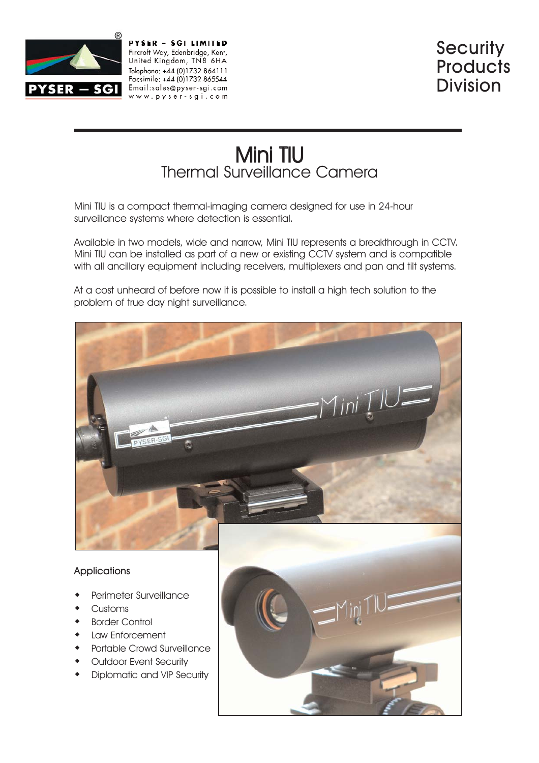

PYSER - SGI LIMITED Fircroft Way, Edenbridge, Kent, United Kingdom, TN8 6HA Telephone: +44 (0)1732 864111 Facsimile: +44 (0)1732 865544 Email:sales@pyser-sgi.com www.pyser-sqi.com

# Mini TIU Thermal Surveillance Camera

Mini TIU is a compact thermal-imaging camera designed for use in 24-hour surveillance systems where detection is essential.

Available in two models, wide and narrow, Mini TIU represents a breakthrough in CCTV. Mini TIU can be installed as part of a new or existing CCTV system and is compatible with all ancillary equipment including receivers, multiplexers and pan and tilt systems.

At a cost unheard of before now it is possible to install a high tech solution to the problem of true day night surveillance.